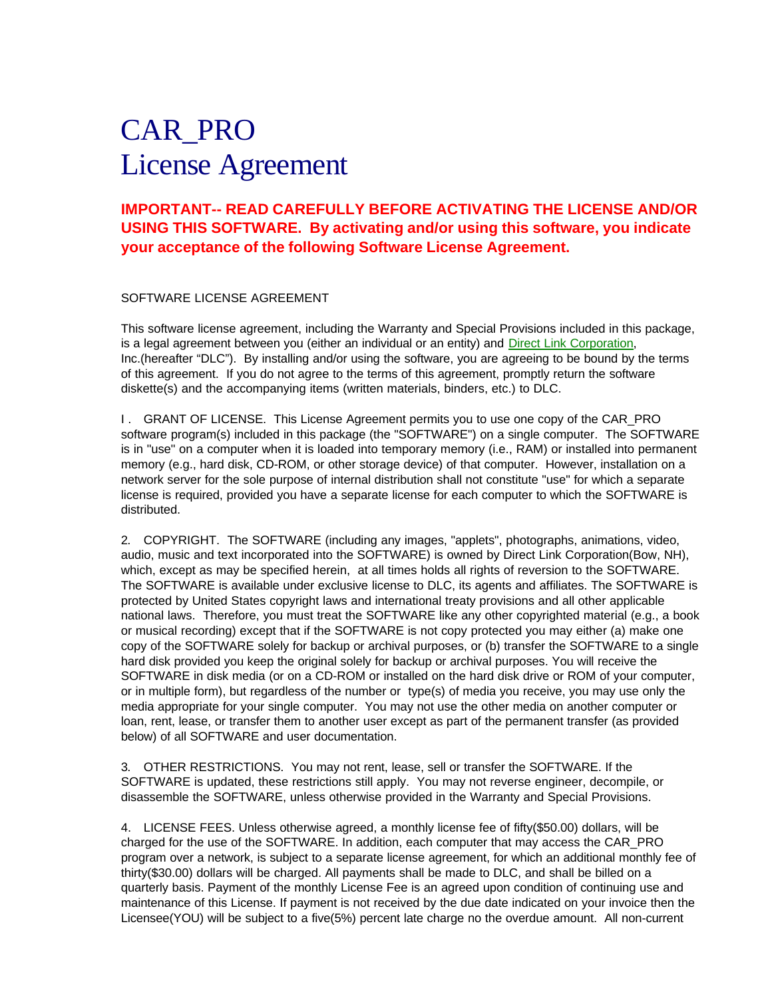# CAR\_PRO License Agreement

## **IMPORTANT-- READ CAREFULLY BEFORE ACTIVATING THE LICENSE AND/OR USING THIS SOFTWARE. By activating and/or using this software, you indicate your acceptance of the following Software License Agreement.**

#### SOFTWARE LICENSE AGREEMENT

This software license agreement, including the Warranty and Special Provisions included in this package, is a legal agreement between you (either an individual or an entity) and Direct Link Corporation, Inc.(hereafter "DLC"). By installing and/or using the software, you are agreeing to be bound by the terms of this agreement. If you do not agree to the terms of this agreement, promptly return the software diskette(s) and the accompanying items (written materials, binders, etc.) to DLC.

I. GRANT OF LICENSE. This License Agreement permits you to use one copy of the CAR\_PRO software program(s) included in this package (the "SOFTWARE") on a single computer. The SOFTWARE is in "use" on a computer when it is loaded into temporary memory (i.e., RAM) or installed into permanent memory (e.g., hard disk, CD-ROM, or other storage device) of that computer. However, installation on a network server for the sole purpose of internal distribution shall not constitute "use" for which a separate license is required, provided you have a separate license for each computer to which the SOFTWARE is distributed.

2. COPYRIGHT. The SOFTWARE (including any images, "applets", photographs, animations, video, audio, music and text incorporated into the SOFTWARE) is owned by Direct Link Corporation(Bow, NH), which, except as may be specified herein, at all times holds all rights of reversion to the SOFTWARE. The SOFTWARE is available under exclusive license to DLC, its agents and affiliates. The SOFTWARE is protected by United States copyright laws and international treaty provisions and all other applicable national laws. Therefore, you must treat the SOFTWARE like any other copyrighted material (e.g., a book or musical recording) except that if the SOFTWARE is not copy protected you may either (a) make one copy of the SOFTWARE solely for backup or archival purposes, or (b) transfer the SOFTWARE to a single hard disk provided you keep the original solely for backup or archival purposes. You will receive the SOFTWARE in disk media (or on a CD-ROM or installed on the hard disk drive or ROM of your computer, or in multiple form), but regardless of the number or type(s) of media you receive, you may use only the media appropriate for your single computer. You may not use the other media on another computer or loan, rent, lease, or transfer them to another user except as part of the permanent transfer (as provided below) of all SOFTWARE and user documentation.

3. OTHER RESTRICTIONS. You may not rent, lease, sell or transfer the SOFTWARE. If the SOFTWARE is updated, these restrictions still apply. You may not reverse engineer, decompile, or disassemble the SOFTWARE, unless otherwise provided in the Warranty and Special Provisions.

4. LICENSE FEES. Unless otherwise agreed, a monthly license fee of fifty(\$50.00) dollars, will be charged for the use of the SOFTWARE. In addition, each computer that may access the CAR\_PRO program over a network, is subject to a separate license agreement, for which an additional monthly fee of thirty(\$30.00) dollars will be charged. All payments shall be made to DLC, and shall be billed on a quarterly basis. Payment of the monthly License Fee is an agreed upon condition of continuing use and maintenance of this License. If payment is not received by the due date indicated on your invoice then the Licensee(YOU) will be subject to a five(5%) percent late charge no the overdue amount. All non-current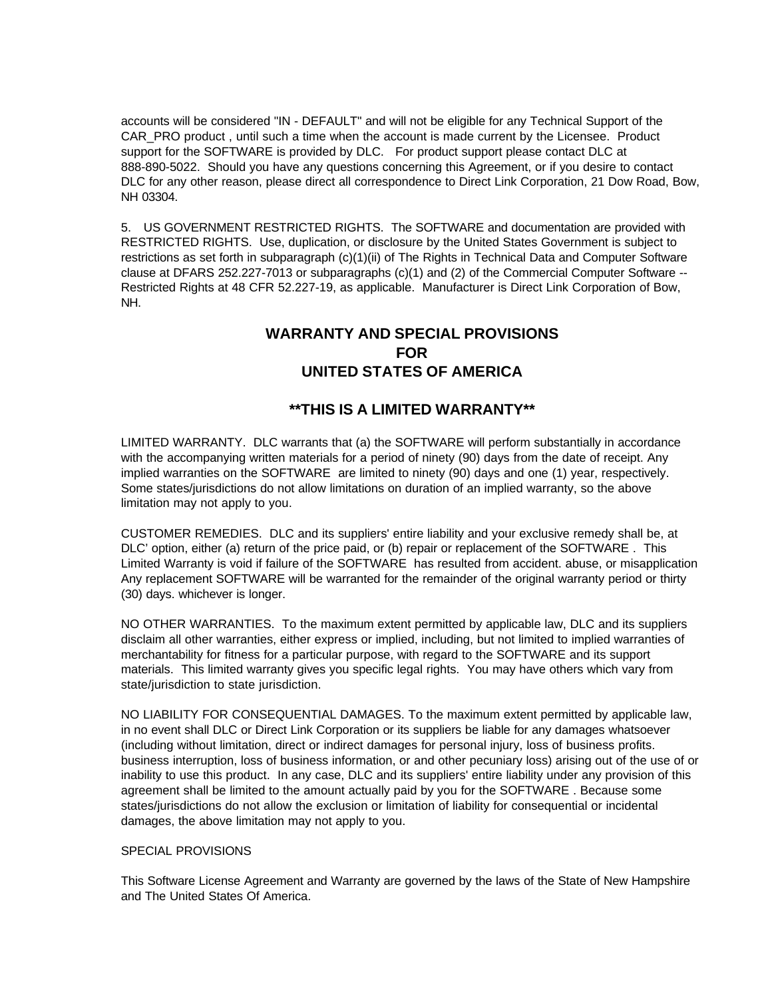accounts will be considered "IN - DEFAULT" and will not be eligible for any Technical Support of the CAR\_PRO product , until such a time when the account is made current by the Licensee. Product support for the SOFTWARE is provided by DLC. For product support please contact DLC at 888-890-5022. Should you have any questions concerning this Agreement, or if you desire to contact DLC for any other reason, please direct all correspondence to Direct Link Corporation, 21 Dow Road, Bow, NH 03304.

5. US GOVERNMENT RESTRICTED RIGHTS. The SOFTWARE and documentation are provided with RESTRICTED RIGHTS. Use, duplication, or disclosure by the United States Government is subject to restrictions as set forth in subparagraph (c)(1)(ii) of The Rights in Technical Data and Computer Software clause at DFARS 252.227-7013 or subparagraphs (c)(1) and (2) of the Commercial Computer Software -- Restricted Rights at 48 CFR 52.227-19, as applicable. Manufacturer is Direct Link Corporation of Bow, NH.

## **WARRANTY AND SPECIAL PROVISIONS FOR UNITED STATES OF AMERICA**

### **\*\*THIS IS A LIMITED WARRANTY\*\***

LIMITED WARRANTY. DLC warrants that (a) the SOFTWARE will perform substantially in accordance with the accompanying written materials for a period of ninety (90) days from the date of receipt. Any implied warranties on the SOFTWARE are limited to ninety (90) days and one (1) year, respectively. Some states/jurisdictions do not allow limitations on duration of an implied warranty, so the above limitation may not apply to you.

CUSTOMER REMEDIES. DLC and its suppliers' entire liability and your exclusive remedy shall be, at DLC' option, either (a) return of the price paid, or (b) repair or replacement of the SOFTWARE . This Limited Warranty is void if failure of the SOFTWARE has resulted from accident. abuse, or misapplication Any replacement SOFTWARE will be warranted for the remainder of the original warranty period or thirty (30) days. whichever is longer.

NO OTHER WARRANTIES. To the maximum extent permitted by applicable law, DLC and its suppliers disclaim all other warranties, either express or implied, including, but not limited to implied warranties of merchantability for fitness for a particular purpose, with regard to the SOFTWARE and its support materials. This limited warranty gives you specific legal rights. You may have others which vary from state/jurisdiction to state jurisdiction.

NO LIABILITY FOR CONSEQUENTIAL DAMAGES. To the maximum extent permitted by applicable law, in no event shall DLC or Direct Link Corporation or its suppliers be liable for any damages whatsoever (including without limitation, direct or indirect damages for personal injury, loss of business profits. business interruption, loss of business information, or and other pecuniary loss) arising out of the use of or inability to use this product. In any case, DLC and its suppliers' entire liability under any provision of this agreement shall be limited to the amount actually paid by you for the SOFTWARE . Because some states/jurisdictions do not allow the exclusion or limitation of liability for consequential or incidental damages, the above limitation may not apply to you.

#### SPECIAL PROVISIONS

This Software License Agreement and Warranty are governed by the laws of the State of New Hampshire and The United States Of America.